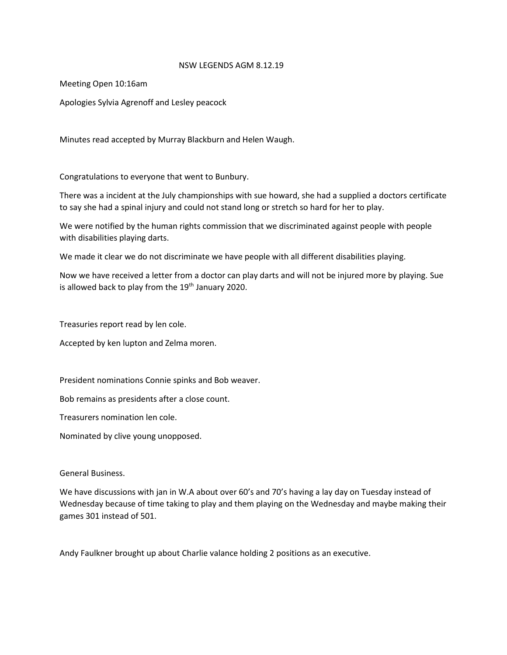## NSW LEGENDS AGM 8.12.19

Meeting Open 10:16am

Apologies Sylvia Agrenoff and Lesley peacock

Minutes read accepted by Murray Blackburn and Helen Waugh.

Congratulations to everyone that went to Bunbury.

There was a incident at the July championships with sue howard, she had a supplied a doctors certificate to say she had a spinal injury and could not stand long or stretch so hard for her to play.

We were notified by the human rights commission that we discriminated against people with people with disabilities playing darts.

We made it clear we do not discriminate we have people with all different disabilities playing.

Now we have received a letter from a doctor can play darts and will not be injured more by playing. Sue is allowed back to play from the 19<sup>th</sup> January 2020.

Treasuries report read by len cole.

Accepted by ken lupton and Zelma moren.

President nominations Connie spinks and Bob weaver.

Bob remains as presidents after a close count.

Treasurers nomination len cole.

Nominated by clive young unopposed.

General Business.

We have discussions with jan in W.A about over 60's and 70's having a lay day on Tuesday instead of Wednesday because of time taking to play and them playing on the Wednesday and maybe making their games 301 instead of 501.

Andy Faulkner brought up about Charlie valance holding 2 positions as an executive.